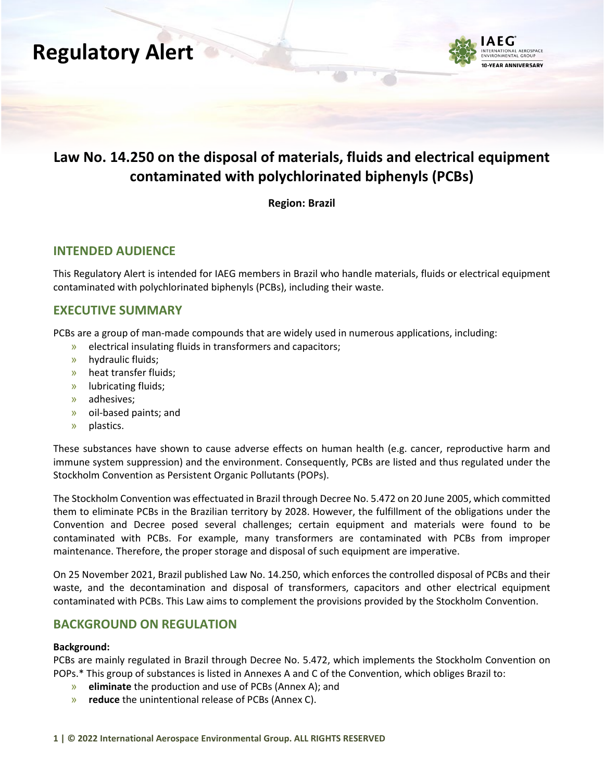



### **Law No. 14.250 on the disposal of materials, fluids and electrical equipment contaminated with polychlorinated biphenyls (PCBs)**

**Region: Brazil**

#### **INTENDED AUDIENCE**

This Regulatory Alert is intended for IAEG members in Brazil who handle materials, fluids or electrical equipment contaminated with polychlorinated biphenyls (PCBs), including their waste.

#### **EXECUTIVE SUMMARY**

PCBs are a group of man-made compounds that are widely used in numerous applications, including:

- » electrical insulating fluids in transformers and capacitors;
- » hydraulic fluids;
- » heat transfer fluids;
- » lubricating fluids;
- » adhesives;
- » oil-based paints; and
- » plastics.

These substances have shown to cause adverse effects on human health (e.g. cancer, reproductive harm and immune system suppression) and the environment. Consequently, PCBs are listed and thus regulated under the Stockholm Convention as Persistent Organic Pollutants (POPs).

The Stockholm Convention was effectuated in Brazil through Decree No. 5.472 on 20 June 2005, which committed them to eliminate PCBs in the Brazilian territory by 2028. However, the fulfillment of the obligations under the Convention and Decree posed several challenges; certain equipment and materials were found to be contaminated with PCBs. For example, many transformers are contaminated with PCBs from improper maintenance. Therefore, the proper storage and disposal of such equipment are imperative.

On 25 November 2021, Brazil published Law No. 14.250, which enforces the controlled disposal of PCBs and their waste, and the decontamination and disposal of transformers, capacitors and other electrical equipment contaminated with PCBs. This Law aims to complement the provisions provided by the Stockholm Convention.

#### **BACKGROUND ON REGULATION**

#### **Background:**

PCBs are mainly regulated in Brazil through Decree No. 5.472, which implements the Stockholm Convention on POPs.\* This group of substances is listed in Annexes A and C of the Convention, which obliges Brazil to:

- » **eliminate** the production and use of PCBs (Annex A); and
- » **reduce** the unintentional release of PCBs (Annex C).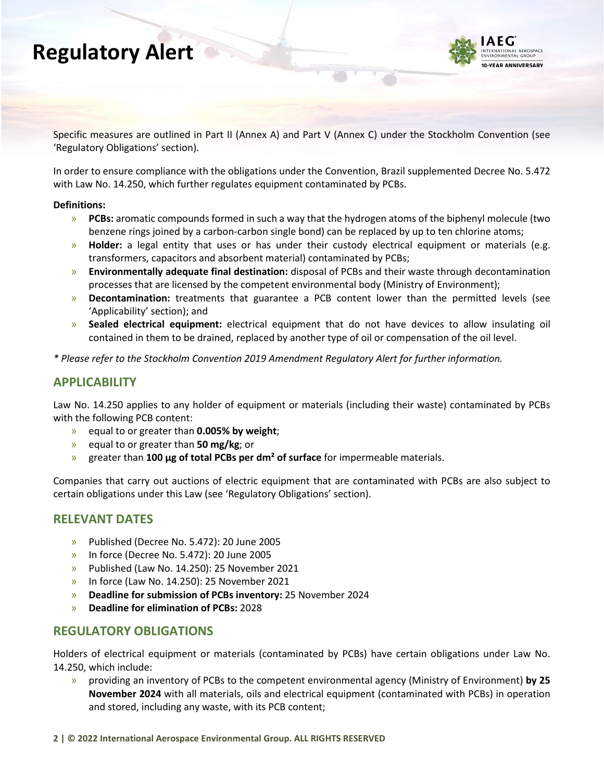# **Regulatory Alert**



Specific measures are outlined in Part II (Annex A) and Part V (Annex C) under the Stockholm Convention (see 'Regulatory Obligations' section).

In order to ensure compliance with the obligations under the Convention, Brazil supplemented Decree No. 5.472 with Law No. 14.250, which further regulates equipment contaminated by PCBs.

#### **Definitions:**

- » **PCBs:** aromatic compounds formed in such a way that the hydrogen atoms of the biphenyl molecule (two benzene rings joined by a carbon-carbon single bond) can be replaced by up to ten chlorine atoms;
- » **Holder:** a legal entity that uses or has under their custody electrical equipment or materials (e.g. transformers, capacitors and absorbent material) contaminated by PCBs;
- » **Environmentally adequate final destination:** disposal of PCBs and their waste through decontamination processes that are licensed by the competent environmental body (Ministry of Environment);
- » **Decontamination:** treatments that guarantee a PCB content lower than the permitted levels (see 'Applicability' section); and
- » **Sealed electrical equipment:** electrical equipment that do not have devices to allow insulating oil contained in them to be drained, replaced by another type of oil or compensation of the oil level.

*\* Please refer to the Stockholm Convention 2019 Amendment Regulatory Alert for further information.*

#### **APPLICABILITY**

Law No. 14.250 applies to any holder of equipment or materials (including their waste) contaminated by PCBs with the following PCB content:

- » equal to or greater than **0.005% by weight**;
- » equal to or greater than **50 mg/kg**; or
- » greater than **100 μg of total PCBs per dm² of surface** for impermeable materials.

Companies that carry out auctions of electric equipment that are contaminated with PCBs are also subject to certain obligations under this Law (see 'Regulatory Obligations' section).

#### **RELEVANT DATES**

- » Published (Decree No. 5.472): 20 June 2005
- » In force (Decree No. 5.472): 20 June 2005
- » Published (Law No. 14.250): 25 November 2021
- » In force (Law No. 14.250): 25 November 2021
- » **Deadline for submission of PCBs inventory:** 25 November 2024
- » **Deadline for elimination of PCBs:** 2028

#### **REGULATORY OBLIGATIONS**

Holders of electrical equipment or materials (contaminated by PCBs) have certain obligations under Law No. 14.250, which include:

» providing an inventory of PCBs to the competent environmental agency (Ministry of Environment) **by 25 November 2024** with all materials, oils and electrical equipment (contaminated with PCBs) in operation and stored, including any waste, with its PCB content;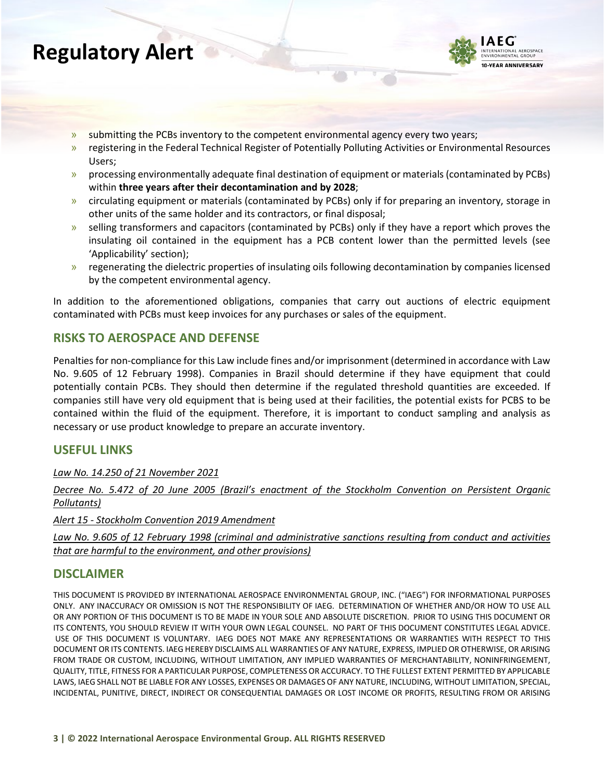# **Regulatory Alert**



- » submitting the PCBs inventory to the competent environmental agency every two years;
- » registering in the Federal Technical Register of Potentially Polluting Activities or Environmental Resources Users;
- » processing environmentally adequate final destination of equipment or materials (contaminated by PCBs) within **three years after their decontamination and by 2028**;
- » circulating equipment or materials (contaminated by PCBs) only if for preparing an inventory, storage in other units of the same holder and its contractors, or final disposal;
- » selling transformers and capacitors (contaminated by PCBs) only if they have a report which proves the insulating oil contained in the equipment has a PCB content lower than the permitted levels (see 'Applicability' section);
- » regenerating the dielectric properties of insulating oils following decontamination by companies licensed by the competent environmental agency.

In addition to the aforementioned obligations, companies that carry out auctions of electric equipment contaminated with PCBs must keep invoices for any purchases or sales of the equipment.

### **RISKS TO AEROSPACE AND DEFENSE**

Penalties for non-compliance for this Law include fines and/or imprisonment (determined in accordance with Law No. 9.605 of 12 February 1998). Companies in Brazil should determine if they have equipment that could potentially contain PCBs. They should then determine if the regulated threshold quantities are exceeded. If companies still have very old equipment that is being used at their facilities, the potential exists for PCBS to be contained within the fluid of the equipment. Therefore, it is important to conduct sampling and analysis as necessary or use product knowledge to prepare an accurate inventory.

#### **USEFUL LINKS**

*[Law No. 14.250 of 21 November 2021](http://www.planalto.gov.br/ccivil_03/_ato2019-2022/2021/Lei/L14250.htm)*

*[Decree No. 5.472 of 20 June 2005 \(Brazil's enactment of the Stockholm Convention on Persistent Organic](https://www.planalto.gov.br/ccivil_03/_Ato2004-2006/2005/Decreto/D5472.htm)  [Pollutants\)](https://www.planalto.gov.br/ccivil_03/_Ato2004-2006/2005/Decreto/D5472.htm)*

*Alert 15 - [Stockholm Convention 2019 Amendment](https://www.iaeg.com/elements/pdf/Alert15-Reg_Alert_Stockholm_Convention_Amendment_Final_Rev1.pdf)*

*[Law No. 9.605 of 12 February 1998 \(criminal and administrative sanctions resulting from conduct and activities](https://www.planalto.gov.br/ccivil_03/LEIS/L9605.htm)  [that are harmful to the environment, and other provisions\)](https://www.planalto.gov.br/ccivil_03/LEIS/L9605.htm)*

### **DISCLAIMER**

THIS DOCUMENT IS PROVIDED BY INTERNATIONAL AEROSPACE ENVIRONMENTAL GROUP, INC. ("IAEG") FOR INFORMATIONAL PURPOSES ONLY.  ANY INACCURACY OR OMISSION IS NOT THE RESPONSIBILITY OF IAEG.  DETERMINATION OF WHETHER AND/OR HOW TO USE ALL OR ANY PORTION OF THIS DOCUMENT IS TO BE MADE IN YOUR SOLE AND ABSOLUTE DISCRETION.  PRIOR TO USING THIS DOCUMENT OR ITS CONTENTS, YOU SHOULD REVIEW IT WITH YOUR OWN LEGAL COUNSEL.  NO PART OF THIS DOCUMENT CONSTITUTES LEGAL ADVICE.  USE OF THIS DOCUMENT IS VOLUNTARY.  IAEG DOES NOT MAKE ANY REPRESENTATIONS OR WARRANTIES WITH RESPECT TO THIS DOCUMENT OR ITS CONTENTS. IAEG HEREBY DISCLAIMS ALL WARRANTIES OF ANY NATURE, EXPRESS, IMPLIED OR OTHERWISE, OR ARISING FROM TRADE OR CUSTOM, INCLUDING, WITHOUT LIMITATION, ANY IMPLIED WARRANTIES OF MERCHANTABILITY, NONINFRINGEMENT, QUALITY, TITLE, FITNESS FOR A PARTICULAR PURPOSE, COMPLETENESS OR ACCURACY. TO THE FULLEST EXTENT PERMITTED BY APPLICABLE LAWS, IAEG SHALL NOT BE LIABLE FOR ANY LOSSES, EXPENSES OR DAMAGES OF ANY NATURE, INCLUDING, WITHOUT LIMITATION, SPECIAL, INCIDENTAL, PUNITIVE, DIRECT, INDIRECT OR CONSEQUENTIAL DAMAGES OR LOST INCOME OR PROFITS, RESULTING FROM OR ARISING